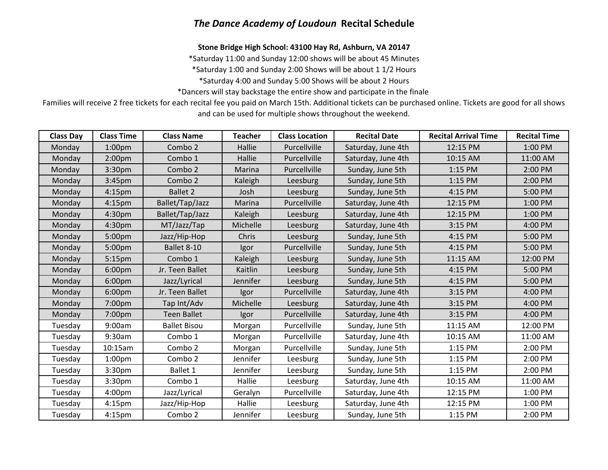## *The Dance Academy of Loudoun* **Recital Schedule**

**Stone Bridge High School: 43100 Hay Rd, Ashburn, VA 20147**

\*Saturday 11:00 and Sunday 12:00 shows will be about 45 Minutes

\*Saturday 1:00 and Sunday 2:00 Shows will be about 1 1/2 Hours

\*Saturday 4:00 and Sunday 5:00 Shows will be about 2 Hours

\*Dancers will stay backstage the entire show and participate in the finale

Families will receive 2 free tickets for each recital fee you paid on March 15th. Additional tickets can be purchased online. Tickets are good for all shows and can be used for multiple shows throughout the weekend.

| <b>Class Day</b> | <b>Class Time</b>  | <b>Class Name</b>   | <b>Teacher</b>  | <b>Class Location</b> | <b>Recital Date</b> | <b>Recital Arrival Time</b> | <b>Recital Time</b> |
|------------------|--------------------|---------------------|-----------------|-----------------------|---------------------|-----------------------------|---------------------|
| Monday           | 1:00 <sub>pm</sub> | Combo 2             | Hallie          | Purcellville          | Saturday, June 4th  | 12:15 PM                    | 1:00 PM             |
| Monday           | 2:00 <sub>pm</sub> | Combo 1             | Hallie          | Purcellville          | Saturday, June 4th  | 10:15 AM                    | 11:00 AM            |
| Monday           | 3:30 <sub>pm</sub> | Combo 2             | <b>Marina</b>   | Purcellville          | Sunday, June 5th    | 1:15 PM                     | 2:00 PM             |
| Monday           | 3:45 <sub>pm</sub> | Combo 2             | Kaleigh         | Leesburg              | Sunday, June 5th    | 1:15 PM                     | 2:00 PM             |
| Monday           | 4:15 <sub>pm</sub> | <b>Ballet 2</b>     | Josh            | Leesburg              | Sunday, June 5th    | 4:15 PM                     | 5:00 PM             |
| Monday           | 4:15 <sub>pm</sub> | Ballet/Tap/Jazz     | Marina          | Purcellville          | Saturday, June 4th  | 12:15 PM                    | 1:00 PM             |
| Monday           | 4:30 <sub>pm</sub> | Ballet/Tap/Jazz     | Kaleigh         | Leesburg              | Saturday, June 4th  | 12:15 PM                    | 1:00 PM             |
| Monday           | 4:30 <sub>pm</sub> | MT/Jazz/Tap         | Michelle        | Leesburg              | Saturday, June 4th  | 3:15 PM                     | 4:00 PM             |
| Monday           | 5:00pm             | Jazz/Hip-Hop        | Chris           | Leesburg              | Sunday, June 5th    | 4:15 PM                     | 5:00 PM             |
| Monday           | 5:00pm             | Ballet 8-10         | Igor            | Purcellville          | Sunday, June 5th    | 4:15 PM                     | 5:00 PM             |
| Monday           | 5:15 <sub>pm</sub> | Combo 1             | Kaleigh         | Leesburg              | Sunday, June 5th    | 11:15 AM                    | 12:00 PM            |
| Monday           | 6:00 <sub>pm</sub> | Jr. Teen Ballet     | Kaitlin         | Leesburg              | Sunday, June 5th    | 4:15 PM                     | 5:00 PM             |
| Monday           | 6:00 <sub>pm</sub> | Jazz/Lyrical        | <b>Jennifer</b> | Leesburg              | Sunday, June 5th    | 4:15 PM                     | 5:00 PM             |
| Monday           | 6:00 <sub>pm</sub> | Jr. Teen Ballet     | Igor            | Purcellville          | Saturday, June 4th  | 3:15 PM                     | 4:00 PM             |
| Monday           | 7:00pm             | Tap Int/Adv         | Michelle        | Leesburg              | Saturday, June 4th  | 3:15 PM                     | 4:00 PM             |
| Monday           | 7:00pm             | <b>Teen Ballet</b>  | Igor            | Purcellville          | Saturday, June 4th  | 3:15 PM                     | 4:00 PM             |
| Tuesday          | 9:00am             | <b>Ballet Bisou</b> | Morgan          | Purcellville          | Sunday, June 5th    | 11:15 AM                    | 12:00 PM            |
| Tuesday          | 9:30am             | Combo 1             | Morgan          | Purcellville          | Saturday, June 4th  | 10:15 AM                    | 11:00 AM            |
| Tuesday          | 10:15am            | Combo 2             | Morgan          | Purcellville          | Sunday, June 5th    | 1:15 PM                     | 2:00 PM             |
| Tuesday          | 1:00 <sub>pm</sub> | Combo 2             | Jennifer        | Leesburg              | Sunday, June 5th    | 1:15 PM                     | 2:00 PM             |
| Tuesday          | 3:30 <sub>pm</sub> | Ballet 1            | Jennifer        | Leesburg              | Sunday, June 5th    | 1:15 PM                     | 2:00 PM             |
| Tuesday          | 3:30 <sub>pm</sub> | Combo 1             | Hallie          | Leesburg              | Saturday, June 4th  | 10:15 AM                    | 11:00 AM            |
| Tuesday          | 4:00pm             | Jazz/Lyrical        | Geralyn         | Purcellville          | Saturday, June 4th  | 12:15 PM                    | 1:00 PM             |
| Tuesday          | 4:15 <sub>pm</sub> | Jazz/Hip-Hop        | Hallie          | Leesburg              | Saturday, June 4th  | 12:15 PM                    | 1:00 PM             |
| Tuesday          | 4:15 <sub>pm</sub> | Combo 2             | Jennifer        | Leesburg              | Sunday, June 5th    | 1:15 PM                     | 2:00 PM             |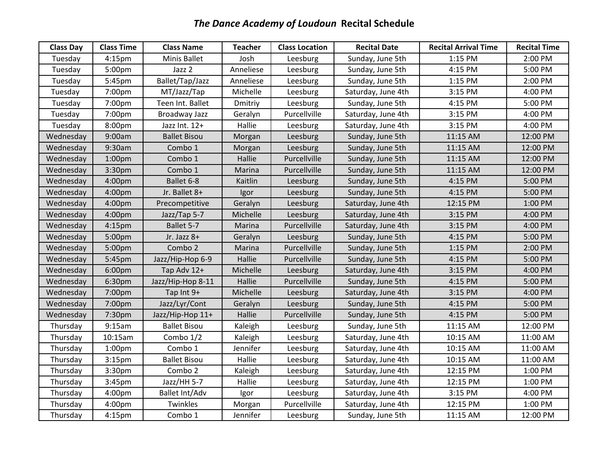## *The Dance Academy of Loudoun* **Recital Schedule**

| <b>Class Day</b> | <b>Class Time</b>  | <b>Class Name</b>   | <b>Teacher</b> | <b>Class Location</b> | <b>Recital Date</b> | <b>Recital Arrival Time</b> | <b>Recital Time</b> |
|------------------|--------------------|---------------------|----------------|-----------------------|---------------------|-----------------------------|---------------------|
| Tuesday          | 4:15 <sub>pm</sub> | Minis Ballet        | Josh           | Leesburg              | Sunday, June 5th    | 1:15 PM                     | 2:00 PM             |
| Tuesday          | 5:00pm             | Jazz 2              | Anneliese      | Leesburg              | Sunday, June 5th    | 4:15 PM                     | 5:00 PM             |
| Tuesday          | 5:45pm             | Ballet/Tap/Jazz     | Anneliese      | Leesburg              | Sunday, June 5th    | 1:15 PM                     | 2:00 PM             |
| Tuesday          | 7:00pm             | MT/Jazz/Tap         | Michelle       | Leesburg              | Saturday, June 4th  | 3:15 PM                     | 4:00 PM             |
| Tuesday          | 7:00pm             | Teen Int. Ballet    | Dmitriy        | Leesburg              | Sunday, June 5th    | 4:15 PM                     | 5:00 PM             |
| Tuesday          | 7:00pm             | Broadway Jazz       | Geralyn        | Purcellville          | Saturday, June 4th  | 3:15 PM                     | 4:00 PM             |
| Tuesday          | 8:00pm             | Jazz Int. 12+       | Hallie         | Leesburg              | Saturday, June 4th  | 3:15 PM                     | 4:00 PM             |
| Wednesday        | 9:00am             | <b>Ballet Bisou</b> | Morgan         | Leesburg              | Sunday, June 5th    | 11:15 AM                    | 12:00 PM            |
| Wednesday        | 9:30am             | Combo 1             | Morgan         | Leesburg              | Sunday, June 5th    | 11:15 AM                    | 12:00 PM            |
| Wednesday        | 1:00 <sub>pm</sub> | Combo 1             | Hallie         | Purcellville          | Sunday, June 5th    | 11:15 AM                    | 12:00 PM            |
| Wednesday        | 3:30pm             | Combo 1             | Marina         | Purcellville          | Sunday, June 5th    | 11:15 AM                    | 12:00 PM            |
| Wednesday        | 4:00pm             | Ballet 6-8          | Kaitlin        | Leesburg              | Sunday, June 5th    | 4:15 PM                     | 5:00 PM             |
| Wednesday        | 4:00pm             | Jr. Ballet 8+       | Igor           | Leesburg              | Sunday, June 5th    | 4:15 PM                     | 5:00 PM             |
| Wednesday        | 4:00 <sub>pm</sub> | Precompetitive      | Geralyn        | Leesburg              | Saturday, June 4th  | 12:15 PM                    | 1:00 PM             |
| Wednesday        | 4:00pm             | Jazz/Tap 5-7        | Michelle       | Leesburg              | Saturday, June 4th  | 3:15 PM                     | 4:00 PM             |
| Wednesday        | 4:15 <sub>pm</sub> | Ballet 5-7          | Marina         | Purcellville          | Saturday, June 4th  | 3:15 PM                     | 4:00 PM             |
| Wednesday        | 5:00pm             | Jr. Jazz 8+         | Geralyn        | Leesburg              | Sunday, June 5th    | 4:15 PM                     | 5:00 PM             |
| Wednesday        | 5:00pm             | Combo 2             | Marina         | Purcellville          | Sunday, June 5th    | 1:15 PM                     | 2:00 PM             |
| Wednesday        | 5:45pm             | Jazz/Hip-Hop 6-9    | Hallie         | Purcellville          | Sunday, June 5th    | 4:15 PM                     | 5:00 PM             |
| Wednesday        | 6:00pm             | Tap Adv 12+         | Michelle       | Leesburg              | Saturday, June 4th  | 3:15 PM                     | 4:00 PM             |
| Wednesday        | 6:30pm             | Jazz/Hip-Hop 8-11   | Hallie         | Purcellville          | Sunday, June 5th    | 4:15 PM                     | 5:00 PM             |
| Wednesday        | 7:00pm             | Tap Int 9+          | Michelle       | Leesburg              | Saturday, June 4th  | 3:15 PM                     | 4:00 PM             |
| Wednesday        | 7:00pm             | Jazz/Lyr/Cont       | Geralyn        | Leesburg              | Sunday, June 5th    | 4:15 PM                     | 5:00 PM             |
| Wednesday        | 7:30pm             | Jazz/Hip-Hop 11+    | Hallie         | Purcellville          | Sunday, June 5th    | 4:15 PM                     | 5:00 PM             |
| Thursday         | 9:15am             | <b>Ballet Bisou</b> | Kaleigh        | Leesburg              | Sunday, June 5th    | 11:15 AM                    | 12:00 PM            |
| Thursday         | 10:15am            | Combo 1/2           | Kaleigh        | Leesburg              | Saturday, June 4th  | 10:15 AM                    | 11:00 AM            |
| Thursday         | 1:00 <sub>pm</sub> | Combo 1             | Jennifer       | Leesburg              | Saturday, June 4th  | 10:15 AM                    | 11:00 AM            |
| Thursday         | 3:15 <sub>pm</sub> | <b>Ballet Bisou</b> | Hallie         | Leesburg              | Saturday, June 4th  | 10:15 AM                    | 11:00 AM            |
| Thursday         | 3:30 <sub>pm</sub> | Combo 2             | Kaleigh        | Leesburg              | Saturday, June 4th  | 12:15 PM                    | 1:00 PM             |
| Thursday         | 3:45pm             | Jazz/HH 5-7         | Hallie         | Leesburg              | Saturday, June 4th  | 12:15 PM                    | 1:00 PM             |
| Thursday         | 4:00 <sub>pm</sub> | Ballet Int/Adv      | Igor           | Leesburg              | Saturday, June 4th  | 3:15 PM                     | 4:00 PM             |
| Thursday         | 4:00pm             | Twinkles            | Morgan         | Purcellville          | Saturday, June 4th  | 12:15 PM                    | 1:00 PM             |
| Thursday         | 4:15 <sub>pm</sub> | Combo 1             | Jennifer       | Leesburg              | Sunday, June 5th    | 11:15 AM                    | 12:00 PM            |